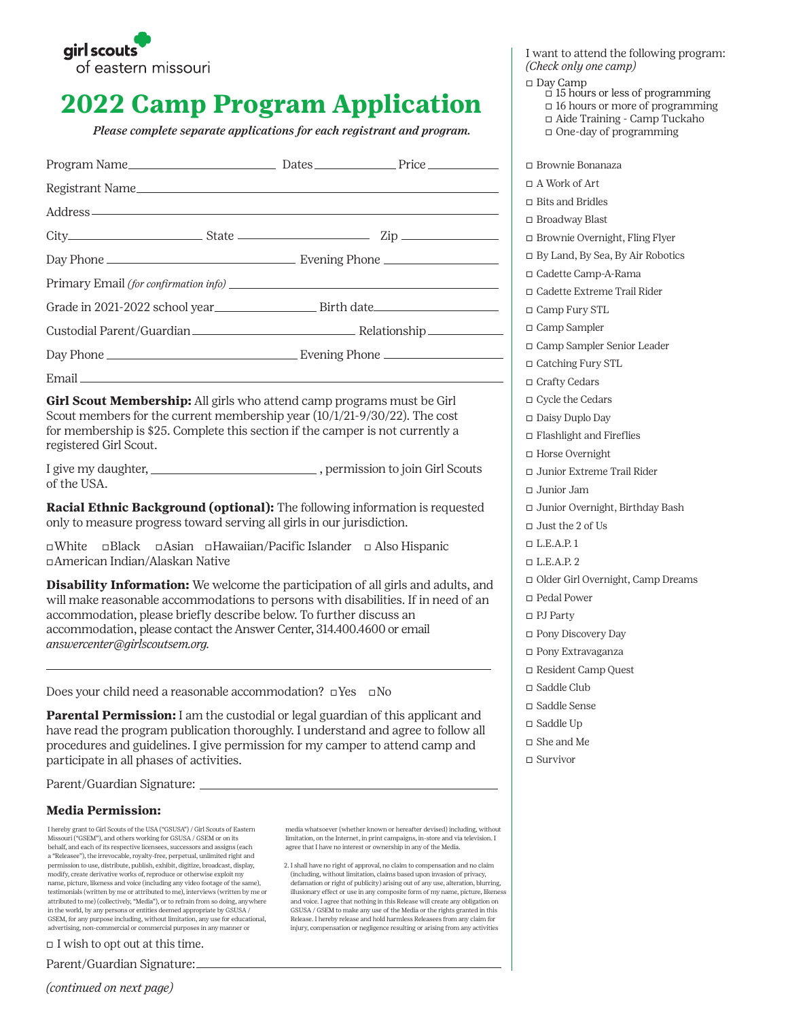

# **2022 Camp Program Application**

*Please complete separate applications for each registrant and program.*

| Registrant Name                                                                                                                                                                                                                                                                                                                                            |  |  |  |  |  |
|------------------------------------------------------------------------------------------------------------------------------------------------------------------------------------------------------------------------------------------------------------------------------------------------------------------------------------------------------------|--|--|--|--|--|
|                                                                                                                                                                                                                                                                                                                                                            |  |  |  |  |  |
|                                                                                                                                                                                                                                                                                                                                                            |  |  |  |  |  |
|                                                                                                                                                                                                                                                                                                                                                            |  |  |  |  |  |
|                                                                                                                                                                                                                                                                                                                                                            |  |  |  |  |  |
|                                                                                                                                                                                                                                                                                                                                                            |  |  |  |  |  |
|                                                                                                                                                                                                                                                                                                                                                            |  |  |  |  |  |
|                                                                                                                                                                                                                                                                                                                                                            |  |  |  |  |  |
| Email experience and the second state of the second state of the second state of the second state of the second state of the second state of the second state of the second state of the second state of the second state of t                                                                                                                             |  |  |  |  |  |
| Girl Scout Membership: All girls who attend camp programs must be Girl<br>Scout members for the current membership year (10/1/21-9/30/22). The cost<br>for membership is \$25. Complete this section if the camper is not currently a<br>registered Girl Scout.                                                                                            |  |  |  |  |  |
| I give my daughter, _______________________________, permission to join Girl Scouts<br>of the USA.                                                                                                                                                                                                                                                         |  |  |  |  |  |
| Racial Ethnic Background (optional): The following information is requested<br>only to measure progress toward serving all girls in our jurisdiction.                                                                                                                                                                                                      |  |  |  |  |  |
| $\square$ Black<br>□ Asian □ Hawaiian/Pacific Islander □ Also Hispanic<br>$\neg$ White<br>□ American Indian/Alaskan Native                                                                                                                                                                                                                                 |  |  |  |  |  |
| Disability Information: We welcome the participation of all girls and adults, and<br>will make reasonable accommodations to persons with disabilities. If in need of an<br>accommodation, please briefly describe below. To further discuss an<br>accommodation, please contact the Answer Center, 314.400.4600 or email<br>answercenter@girlscoutsem.org. |  |  |  |  |  |
| Does your child need a reasonable accommodation? $\square$ Yes $\square$ No                                                                                                                                                                                                                                                                                |  |  |  |  |  |
| Parental Permission: I am the custodial or legal guardian of this applicant and<br>have read the program publication thoroughly. I understand and agree to follow all<br>procedures and guidelines. I give permission for my camper to attend camp and<br>participate in all phases of activities.                                                         |  |  |  |  |  |

Parent/Guardian Signature:

## **Media Permission:**

I hereby grant to Girl Scouts of the USA ("GSUSA") / Girl Scouts of Eastern Missouri ("GSEM"), and others working for GSUSA / GSEM or on its behalf, and each of its respective licensees, successors and assigns (each a "Releasee"), the irrevocable, royalty-free, perpetual, unlimited right and permission to use, distribute, publish, exhibit, digitize, broadcast, display, modify, create derivative works of, reproduce or otherwise exploit my name, picture, likeness and voice (including any video footage of the same), testimonials (written by me or attributed to me), interviews (written by me or attributed to me) (collectively, "Media"), or to refrain from so doing, anywhere in the world, by any persons or entities deemed appropriate by GSUSA / GSEM, for any purpose including, without limitation, any use for educational, advertising, non-commercial or commercial purposes in any manner or

 $\Box$  I wish to opt out at this time.

Parent/Guardian Signature:

media whatsoever (whether known or hereafter devised) including, without limitation, on the Internet, in print campaigns, in-store and via television. I agree that I have no interest or ownership in any of the Media.

2. I shall have no right of approval, no claim to compensation and no claim (including, without limitation, claims based upon invasion of privacy, defamation or right of publicity) arising out of any use, alteration, blurring, illusionary effect or use in any composite form of my name, picture, likeness and voice. I agree that nothing in this Release will create any obligation on GSUSA / GSEM to make any use of the Media or the rights granted in this Release. I hereby release and hold harmless Releasees from any claim for injury, compensation or negligence resulting or arising from any activities

I want to attend the following program: *(Check only one camp)*

- � Day Camp
	- $\overline{\text{I}}$  15 hours or less of programming
	- $\Box$  16 hours or more of programming � Aide Training - Camp Tuckaho
	- $\Box$  One-day of programming

� Brownie Bonanaza

- � A Work of Art
- � Bits and Bridles
- � Broadway Blast
- � Brownie Overnight, Fling Flyer
- � By Land, By Sea, By Air Robotics
- � Cadette Camp-A-Rama
- $\Box$  Cadette Extreme Trail Rider
- � Camp Fury STL
- � Camp Sampler
- � Camp Sampler Senior Leader
- � Catching Fury STL
- □ Crafty Cedars
- � Cycle the Cedars
- � Daisy Duplo Day
- � Flashlight and Fireflies
- � Horse Overnight
- � Junior Extreme Trail Rider
- � Junior Jam
- � Junior Overnight, Birthday Bash
- � Just the 2 of Us
- $\n **L.E.A.P. 1**\n$
- $\n **L.E.A.P. 2**\n$
- � Older Girl Overnight, Camp Dreams
- � Pedal Power
- � PJ Party
- � Pony Discovery Day
- � Pony Extravaganza
- � Resident Camp Quest
- � Saddle Club
- � Saddle Sense
- □ Saddle Up
- � She and Me
- $\Box$  Survivor

*(continued on next page)*